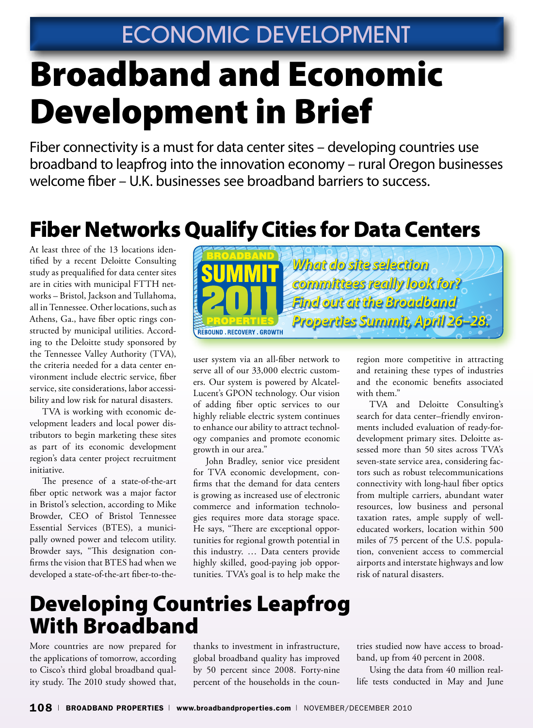# Broadband and Economic Development in Brief

Fiber connectivity is a must for data center sites – developing countries use broadband to leapfrog into the innovation economy – rural Oregon businesses welcome fiber – U.K. businesses see broadband barriers to success.

# Fiber Networks Qualify Cities for Data Centers

At least three of the 13 locations identified by a recent Deloitte Consulting study as prequalified for data center sites are in cities with municipal FTTH networks – Bristol, Jackson and Tullahoma, all in Tennessee. Other locations, such as Athens, Ga., have fiber optic rings constructed by municipal utilities. According to the Deloitte study sponsored by the Tennessee Valley Authority (TVA), the criteria needed for a data center environment include electric service, fiber service, site considerations, labor accessibility and low risk for natural disasters.

TVA is working with economic development leaders and local power distributors to begin marketing these sites as part of its economic development region's data center project recruitment initiative.

The presence of a state-of-the-art fiber optic network was a major factor in Bristol's selection, according to Mike Browder, CEO of Bristol Tennessee Essential Services (BTES), a municipally owned power and telecom utility. Browder says, "This designation confirms the vision that BTES had when we developed a state-of-the-art fiber-to-the-



user system via an all-fiber network to serve all of our 33,000 electric customers. Our system is powered by Alcatel-Lucent's GPON technology. Our vision of adding fiber optic services to our highly reliable electric system continues to enhance our ability to attract technology companies and promote economic growth in our area."

John Bradley, senior vice president for TVA economic development, confirms that the demand for data centers is growing as increased use of electronic commerce and information technologies requires more data storage space. He says, "There are exceptional opportunities for regional growth potential in this industry. … Data centers provide highly skilled, good-paying job opportunities. TVA's goal is to help make the region more competitive in attracting and retaining these types of industries and the economic benefits associated with them."

TVA and Deloitte Consulting's search for data center–friendly environments included evaluation of ready-fordevelopment primary sites. Deloitte assessed more than 50 sites across TVA's seven-state service area, considering factors such as robust telecommunications connectivity with long-haul fiber optics from multiple carriers, abundant water resources, low business and personal taxation rates, ample supply of welleducated workers, location within 500 miles of 75 percent of the U.S. population, convenient access to commercial airports and interstate highways and low risk of natural disasters.

### Developing Countries Leapfrog With Broadband

More countries are now prepared for the applications of tomorrow, according to Cisco's third global broadband quality study. The 2010 study showed that,

thanks to investment in infrastructure, global broadband quality has improved by 50 percent since 2008. Forty-nine percent of the households in the countries studied now have access to broadband, up from 40 percent in 2008.

Using the data from 40 million reallife tests conducted in May and June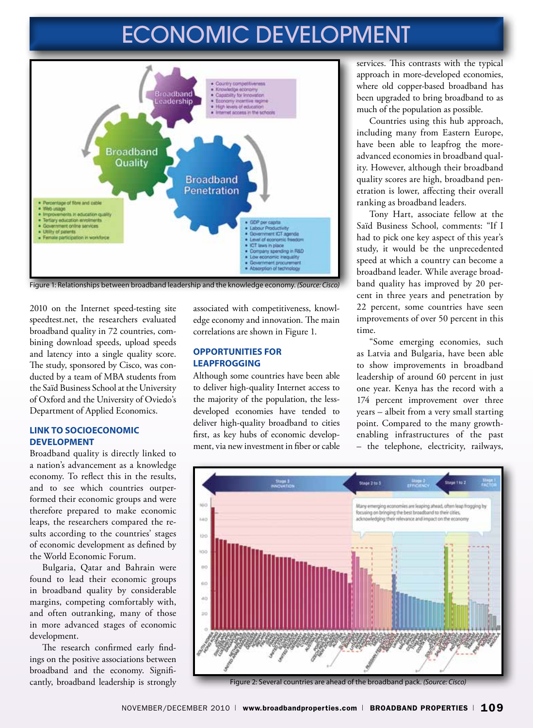# ECONOMIC DEVELOPMENT



Figure 1: Relationships between broadband leadership and the knowledge economy. *(Source: Cisco)*

2010 on the Internet speed-testing site speedtest.net, the researchers evaluated broadband quality in 72 countries, combining download speeds, upload speeds and latency into a single quality score. The study, sponsored by Cisco, was conducted by a team of MBA students from the Saïd Business School at the University of Oxford and the University of Oviedo's Department of Applied Economics.

#### **Link to Socioeconomic Development**

Broadband quality is directly linked to a nation's advancement as a knowledge economy. To reflect this in the results, and to see which countries outperformed their economic groups and were therefore prepared to make economic leaps, the researchers compared the results according to the countries' stages of economic development as defined by the World Economic Forum.

Bulgaria, Qatar and Bahrain were found to lead their economic groups in broadband quality by considerable margins, competing comfortably with, and often outranking, many of those in more advanced stages of economic development.

The research confirmed early findings on the positive associations between broadband and the economy. Significantly, broadband leadership is strongly associated with competitiveness, knowledge economy and innovation. The main correlations are shown in Figure 1.

### **Opportunities for Leapfrogging**

Although some countries have been able to deliver high-quality Internet access to the majority of the population, the lessdeveloped economies have tended to deliver high-quality broadband to cities first, as key hubs of economic development, via new investment in fiber or cable services. This contrasts with the typical approach in more-developed economies, where old copper-based broadband has been upgraded to bring broadband to as much of the population as possible.

Countries using this hub approach, including many from Eastern Europe, have been able to leapfrog the moreadvanced economies in broadband quality. However, although their broadband quality scores are high, broadband penetration is lower, affecting their overall ranking as broadband leaders.

Tony Hart, associate fellow at the Saïd Business School, comments: "If I had to pick one key aspect of this year's study, it would be the unprecedented speed at which a country can become a broadband leader. While average broadband quality has improved by 20 percent in three years and penetration by 22 percent, some countries have seen improvements of over 50 percent in this time.

"Some emerging economies, such as Latvia and Bulgaria, have been able to show improvements in broadband leadership of around 60 percent in just one year. Kenya has the record with a 174 percent improvement over three years – albeit from a very small starting point. Compared to the many growthenabling infrastructures of the past – the telephone, electricity, railways,



Figure 2: Several countries are ahead of the broadband pack. *(Source: Cisco)*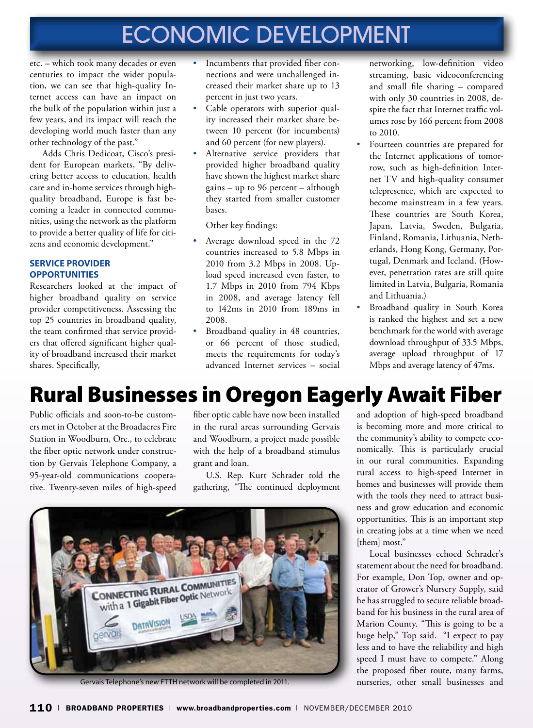# ECONOMIC DEVELOPMENT

etc. – which took many decades or even centuries to impact the wider population, we can see that high-quality Internet access can have an impact on the bulk of the population within just a few years, and its impact will reach the developing world much faster than any other technology of the past."

Adds Chris Dedicoat, Cisco's president for European markets, "By delivering better access to education, health care and in-home services through highquality broadband, Europe is fast becoming a leader in connected communities, using the network as the platform to provide a better quality of life for citizens and economic development."

### **SERVICE PROVIDER Opportunities**

Researchers looked at the impact of higher broadband quality on service provider competitiveness. Assessing the top 25 countries in broadband quality, the team confirmed that service providers that offered significant higher quality of broadband increased their market shares. Specifically,

- Incumbents that provided fiber connections and were unchallenged increased their market share up to 13 percent in just two years.
- Cable operators with superior quality increased their market share between 10 percent (for incumbents) and 60 percent (for new players).
- Alternative service providers that provided higher broadband quality have shown the highest market share gains – up to 96 percent – although they started from smaller customer bases.

Other key findings:

- Average download speed in the 72 countries increased to 5.8 Mbps in 2010 from 3.2 Mbps in 2008. Upload speed increased even faster, to 1.7 Mbps in 2010 from 794 Kbps in 2008, and average latency fell to 142ms in 2010 from 189ms in 2008.
- Broadband quality in 48 countries, or 66 percent of those studied, meets the requirements for today's advanced Internet services – social

networking, low-definition video streaming, basic videoconferencing and small file sharing – compared with only 30 countries in 2008, despite the fact that Internet traffic volumes rose by 166 percent from 2008 to 2010.

- Fourteen countries are prepared for the Internet applications of tomorrow, such as high-definition Internet TV and high-quality consumer telepresence, which are expected to become mainstream in a few years. These countries are South Korea, Japan, Latvia, Sweden, Bulgaria, Finland, Romania, Lithuania, Netherlands, Hong Kong, Germany, Portugal, Denmark and Iceland. (However, penetration rates are still quite limited in Latvia, Bulgaria, Romania and Lithuania.)
- Broadband quality in South Korea is ranked the highest and set a new benchmark for the world with average download throughput of 33.5 Mbps, average upload throughput of 17 Mbps and average latency of 47ms.

# Rural Businesses in Oregon Eagerly Await Fiber

Public officials and soon-to-be customers met in October at the Broadacres Fire Station in Woodburn, Ore., to celebrate the fiber optic network under construction by Gervais Telephone Company, a 95-year-old communications cooperative. Twenty-seven miles of high-speed

fiber optic cable have now been installed in the rural areas surrounding Gervais and Woodburn, a project made possible with the help of a broadband stimulus grant and loan.

U.S. Rep. Kurt Schrader told the gathering, "The continued deployment



Gervais Telephone's new FTTH network will be completed in 2011.

and adoption of high-speed broadband is becoming more and more critical to the community's ability to compete economically. This is particularly crucial in our rural communities. Expanding rural access to high-speed Internet in homes and businesses will provide them with the tools they need to attract business and grow education and economic opportunities. This is an important step in creating jobs at a time when we need [them] most."

Local businesses echoed Schrader's statement about the need for broadband. For example, Don Top, owner and operator of Grower's Nursery Supply, said he has struggled to secure reliable broadband for his business in the rural area of Marion County. "This is going to be a huge help," Top said. "I expect to pay less and to have the reliability and high speed I must have to compete." Along the proposed fiber route, many farms, nurseries, other small businesses and